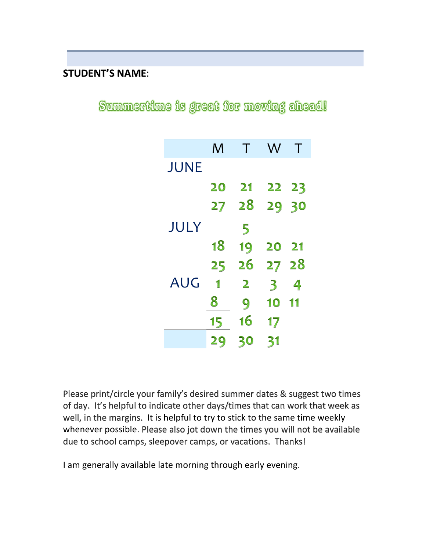## **STUDENT'S NAME**:

Summertime is great for moving ahead!

|             | M  | Τ              | W                       | Т             |
|-------------|----|----------------|-------------------------|---------------|
| <b>JUNE</b> |    |                |                         |               |
|             | 20 | 21             | 22 23                   |               |
|             | 27 | 28             | 29 30                   |               |
| JULY        |    | 5              |                         |               |
|             | 18 | 19             | 20                      | $\mathbf{21}$ |
|             | 25 | 26             | 27 28                   |               |
| AUG         | 1  | $\overline{2}$ | $\overline{\mathbf{3}}$ | 4             |
|             | 8  | 9              | 10                      | 11            |
|             | 15 | 16             | 17                      |               |
|             | 29 | 30             | 31                      |               |

Please print/circle your family's desired summer dates & suggest two times of day. It's helpful to indicate other days/times that can work that week as well, in the margins. It is helpful to try to stick to the same time weekly whenever possible. Please also jot down the times you will not be available due to school camps, sleepover camps, or vacations. Thanks!

I am generally available late morning through early evening.